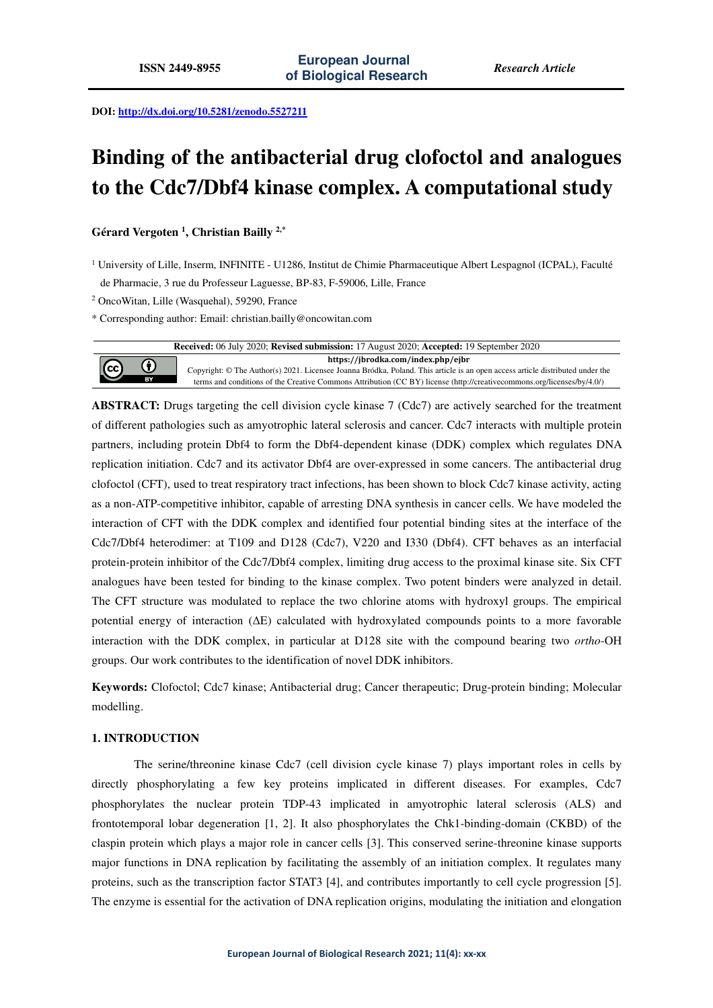**DOI: http://dx.doi.org/10.5281/zenodo.5527211** 

# **Binding of the antibacterial drug clofoctol and analogues to the Cdc7/Dbf4 kinase complex. A computational study**

**Gérard Vergoten <sup>1</sup> , Christian Bailly 2,\***

<sup>1</sup> University of Lille, Inserm, INFINITE - U1286, Institut de Chimie Pharmaceutique Albert Lespagnol (ICPAL), Faculté de Pharmacie, 3 rue du Professeur Laguesse, BP-83, F-59006, Lille, France

2 OncoWitan, Lille (Wasquehal), 59290, France

\* Corresponding author: Email: christian.bailly@oncowitan.com

| Received: 06 July 2020; Revised submission: 17 August 2020; Accepted: 19 September 2020 |              |                                                                                                                               |  |  |  |  |  |
|-----------------------------------------------------------------------------------------|--------------|-------------------------------------------------------------------------------------------------------------------------------|--|--|--|--|--|
| $\odot$                                                                                 | $\bf \Theta$ | https://jbrodka.com/index.php/ejbr                                                                                            |  |  |  |  |  |
|                                                                                         |              | Copyright: © The Author(s) 2021. Licensee Joanna Bródka, Poland. This article is an open access article distributed under the |  |  |  |  |  |
|                                                                                         | <b>BY</b>    | terms and conditions of the Creative Commons Attribution (CC BY) license (http://creativecommons.org/licenses/by/4.0/)        |  |  |  |  |  |

**ABSTRACT:** Drugs targeting the cell division cycle kinase 7 (Cdc7) are actively searched for the treatment of different pathologies such as amyotrophic lateral sclerosis and cancer. Cdc7 interacts with multiple protein partners, including protein Dbf4 to form the Dbf4-dependent kinase (DDK) complex which regulates DNA replication initiation. Cdc7 and its activator Dbf4 are over-expressed in some cancers. The antibacterial drug clofoctol (CFT), used to treat respiratory tract infections, has been shown to block Cdc7 kinase activity, acting as a non-ATP-competitive inhibitor, capable of arresting DNA synthesis in cancer cells. We have modeled the interaction of CFT with the DDK complex and identified four potential binding sites at the interface of the Cdc7/Dbf4 heterodimer: at T109 and D128 (Cdc7), V220 and I330 (Dbf4). CFT behaves as an interfacial protein-protein inhibitor of the Cdc7/Dbf4 complex, limiting drug access to the proximal kinase site. Six CFT analogues have been tested for binding to the kinase complex. Two potent binders were analyzed in detail. The CFT structure was modulated to replace the two chlorine atoms with hydroxyl groups. The empirical potential energy of interaction (ΔE) calculated with hydroxylated compounds points to a more favorable interaction with the DDK complex, in particular at D128 site with the compound bearing two *ortho*-OH groups. Our work contributes to the identification of novel DDK inhibitors.

**Keywords:** Clofoctol; Cdc7 kinase; Antibacterial drug; Cancer therapeutic; Drug-protein binding; Molecular modelling.

## **1. INTRODUCTION**

The serine/threonine kinase Cdc7 (cell division cycle kinase 7) plays important roles in cells by directly phosphorylating a few key proteins implicated in different diseases. For examples, Cdc7 phosphorylates the nuclear protein TDP-43 implicated in amyotrophic lateral sclerosis (ALS) and frontotemporal lobar degeneration [1, 2]. It also phosphorylates the Chk1-binding-domain (CKBD) of the claspin protein which plays a major role in cancer cells [3]. This conserved serine-threonine kinase supports major functions in DNA replication by facilitating the assembly of an initiation complex. It regulates many proteins, such as the transcription factor STAT3 [4], and contributes importantly to cell cycle progression [5]. The enzyme is essential for the activation of DNA replication origins, modulating the initiation and elongation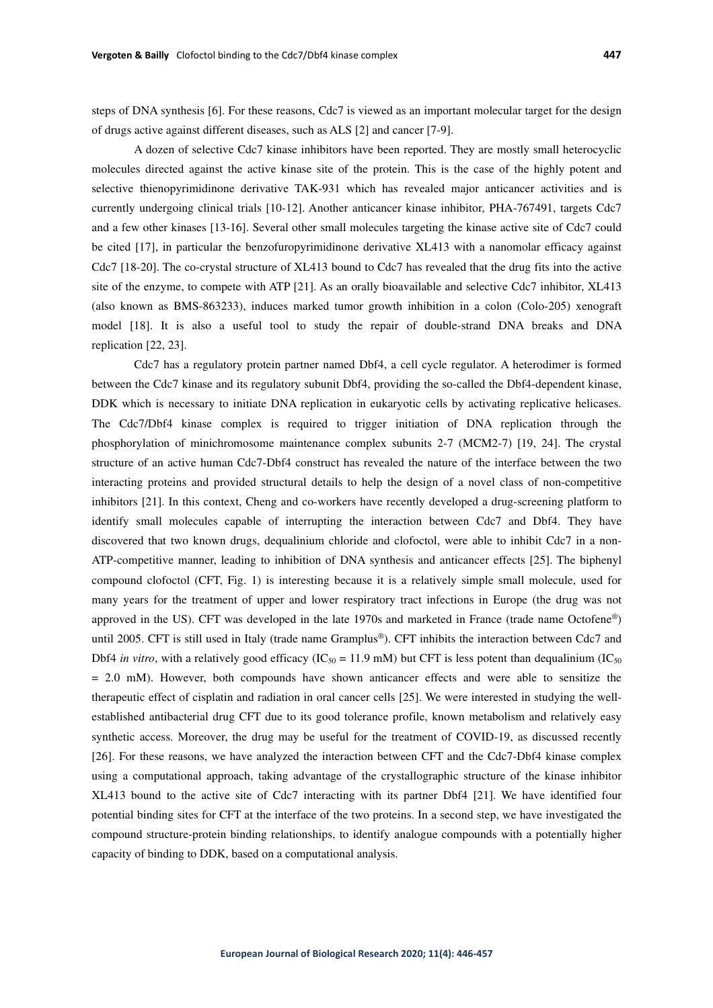steps of DNA synthesis [6]. For these reasons, Cdc7 is viewed as an important molecular target for the design of drugs active against different diseases, such as ALS [2] and cancer [7-9].

A dozen of selective Cdc7 kinase inhibitors have been reported. They are mostly small heterocyclic molecules directed against the active kinase site of the protein. This is the case of the highly potent and selective thienopyrimidinone derivative TAK-931 which has revealed major anticancer activities and is currently undergoing clinical trials [10-12]. Another anticancer kinase inhibitor, PHA-767491, targets Cdc7 and a few other kinases [13-16]. Several other small molecules targeting the kinase active site of Cdc7 could be cited [17], in particular the benzofuropyrimidinone derivative XL413 with a nanomolar efficacy against Cdc7 [18-20]. The co-crystal structure of XL413 bound to Cdc7 has revealed that the drug fits into the active site of the enzyme, to compete with ATP [21]. As an orally bioavailable and selective Cdc7 inhibitor, XL413 (also known as BMS-863233), induces marked tumor growth inhibition in a colon (Colo-205) xenograft model [18]. It is also a useful tool to study the repair of double-strand DNA breaks and DNA replication [22, 23].

Cdc7 has a regulatory protein partner named Dbf4, a cell cycle regulator. A heterodimer is formed between the Cdc7 kinase and its regulatory subunit Dbf4, providing the so-called the Dbf4-dependent kinase, DDK which is necessary to initiate DNA replication in eukaryotic cells by activating replicative helicases. The Cdc7/Dbf4 kinase complex is required to trigger initiation of DNA replication through the phosphorylation of minichromosome maintenance complex subunits 2-7 (MCM2-7) [19, 24]. The crystal structure of an active human Cdc7-Dbf4 construct has revealed the nature of the interface between the two interacting proteins and provided structural details to help the design of a novel class of non-competitive inhibitors [21]. In this context, Cheng and co-workers have recently developed a drug-screening platform to identify small molecules capable of interrupting the interaction between Cdc7 and Dbf4. They have discovered that two known drugs, dequalinium chloride and clofoctol, were able to inhibit Cdc7 in a non-ATP-competitive manner, leading to inhibition of DNA synthesis and anticancer effects [25]. The biphenyl compound clofoctol (CFT, Fig. 1) is interesting because it is a relatively simple small molecule, used for many years for the treatment of upper and lower respiratory tract infections in Europe (the drug was not approved in the US). CFT was developed in the late 1970s and marketed in France (trade name Octofene®) until 2005. CFT is still used in Italy (trade name Gramplus®). CFT inhibits the interaction between Cdc7 and Dbf4 *in vitro*, with a relatively good efficacy (IC<sub>50</sub> = 11.9 mM) but CFT is less potent than dequalinium (IC<sub>50</sub>)  $= 2.0$  mM). However, both compounds have shown anticancer effects and were able to sensitize the therapeutic effect of cisplatin and radiation in oral cancer cells [25]. We were interested in studying the wellestablished antibacterial drug CFT due to its good tolerance profile, known metabolism and relatively easy synthetic access. Moreover, the drug may be useful for the treatment of COVID-19, as discussed recently [26]. For these reasons, we have analyzed the interaction between CFT and the Cdc7-Dbf4 kinase complex using a computational approach, taking advantage of the crystallographic structure of the kinase inhibitor XL413 bound to the active site of Cdc7 interacting with its partner Dbf4 [21]. We have identified four potential binding sites for CFT at the interface of the two proteins. In a second step, we have investigated the compound structure-protein binding relationships, to identify analogue compounds with a potentially higher capacity of binding to DDK, based on a computational analysis.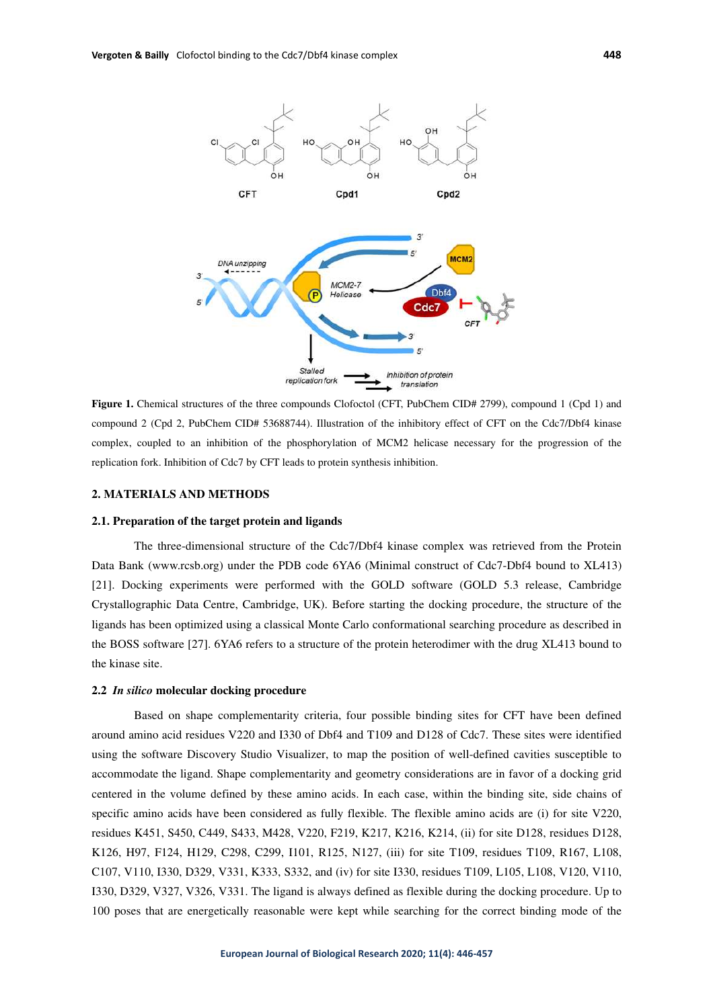

**Figure 1.** Chemical structures of the three compounds Clofoctol (CFT, PubChem CID# 2799), compound 1 (Cpd 1) and compound 2 (Cpd 2, PubChem CID# 53688744). Illustration of the inhibitory effect of CFT on the Cdc7/Dbf4 kinase complex, coupled to an inhibition of the phosphorylation of MCM2 helicase necessary for the progression of the replication fork. Inhibition of Cdc7 by CFT leads to protein synthesis inhibition.

## **2. MATERIALS AND METHODS**

#### **2.1. Preparation of the target protein and ligands**

The three-dimensional structure of the Cdc7/Dbf4 kinase complex was retrieved from the Protein Data Bank (www.rcsb.org) under the PDB code 6YA6 (Minimal construct of Cdc7-Dbf4 bound to XL413) [21]. Docking experiments were performed with the GOLD software (GOLD 5.3 release, Cambridge Crystallographic Data Centre, Cambridge, UK). Before starting the docking procedure, the structure of the ligands has been optimized using a classical Monte Carlo conformational searching procedure as described in the BOSS software [27]. 6YA6 refers to a structure of the protein heterodimer with the drug XL413 bound to the kinase site.

#### **2.2** *In silico* **molecular docking procedure**

Based on shape complementarity criteria, four possible binding sites for CFT have been defined around amino acid residues V220 and I330 of Dbf4 and T109 and D128 of Cdc7. These sites were identified using the software Discovery Studio Visualizer, to map the position of well-defined cavities susceptible to accommodate the ligand. Shape complementarity and geometry considerations are in favor of a docking grid centered in the volume defined by these amino acids. In each case, within the binding site, side chains of specific amino acids have been considered as fully flexible. The flexible amino acids are (i) for site V220, residues K451, S450, C449, S433, M428, V220, F219, K217, K216, K214, (ii) for site D128, residues D128, K126, H97, F124, H129, C298, C299, I101, R125, N127, (iii) for site T109, residues T109, R167, L108, C107, V110, I330, D329, V331, K333, S332, and (iv) for site I330, residues T109, L105, L108, V120, V110, I330, D329, V327, V326, V331. The ligand is always defined as flexible during the docking procedure. Up to 100 poses that are energetically reasonable were kept while searching for the correct binding mode of the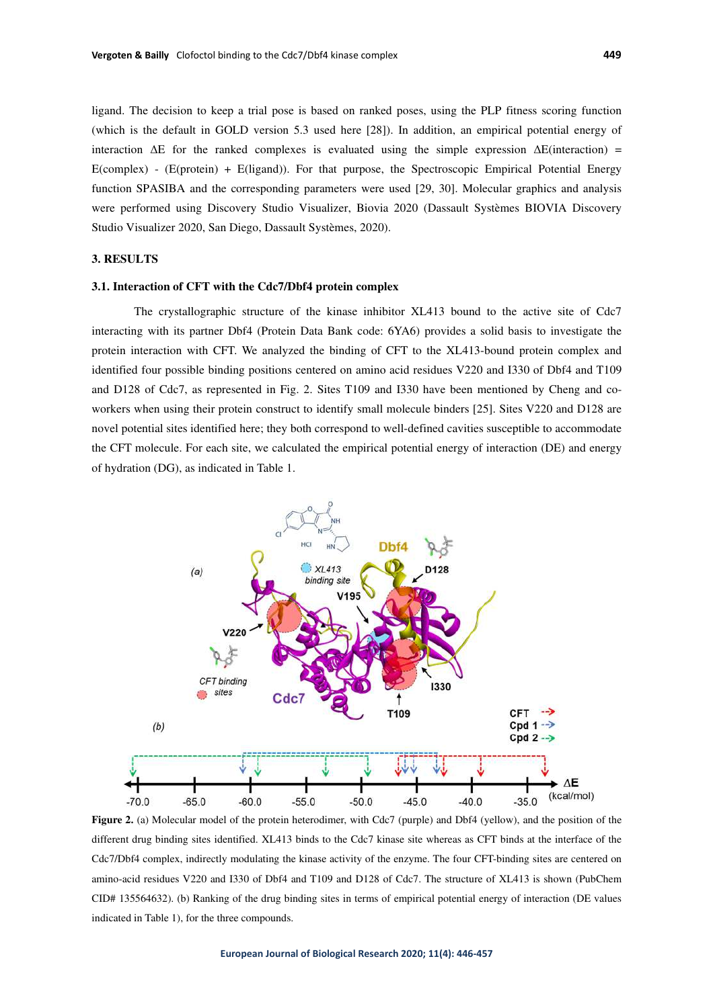ligand. The decision to keep a trial pose is based on ranked poses, using the PLP fitness scoring function (which is the default in GOLD version 5.3 used here [28]). In addition, an empirical potential energy of interaction  $\Delta E$  for the ranked complexes is evaluated using the simple expression  $\Delta E$ (interaction) = E(complex) - (E(protein) + E(ligand)). For that purpose, the Spectroscopic Empirical Potential Energy function SPASIBA and the corresponding parameters were used [29, 30]. Molecular graphics and analysis were performed using Discovery Studio Visualizer, Biovia 2020 (Dassault Systèmes BIOVIA Discovery Studio Visualizer 2020, San Diego, Dassault Systèmes, 2020).

# **3. RESULTS**

#### **3.1. Interaction of CFT with the Cdc7/Dbf4 protein complex**

The crystallographic structure of the kinase inhibitor XL413 bound to the active site of Cdc7 interacting with its partner Dbf4 (Protein Data Bank code: 6YA6) provides a solid basis to investigate the protein interaction with CFT. We analyzed the binding of CFT to the XL413-bound protein complex and identified four possible binding positions centered on amino acid residues V220 and I330 of Dbf4 and T109 and D128 of Cdc7, as represented in Fig. 2. Sites T109 and I330 have been mentioned by Cheng and coworkers when using their protein construct to identify small molecule binders [25]. Sites V220 and D128 are novel potential sites identified here; they both correspond to well-defined cavities susceptible to accommodate the CFT molecule. For each site, we calculated the empirical potential energy of interaction (DE) and energy of hydration (DG), as indicated in Table 1.



**Figure 2.** (a) Molecular model of the protein heterodimer, with Cdc7 (purple) and Dbf4 (yellow), and the position of the different drug binding sites identified. XL413 binds to the Cdc7 kinase site whereas as CFT binds at the interface of the Cdc7/Dbf4 complex, indirectly modulating the kinase activity of the enzyme. The four CFT-binding sites are centered on amino-acid residues V220 and I330 of Dbf4 and T109 and D128 of Cdc7. The structure of XL413 is shown (PubChem CID# 135564632). (b) Ranking of the drug binding sites in terms of empirical potential energy of interaction (DE values indicated in Table 1), for the three compounds.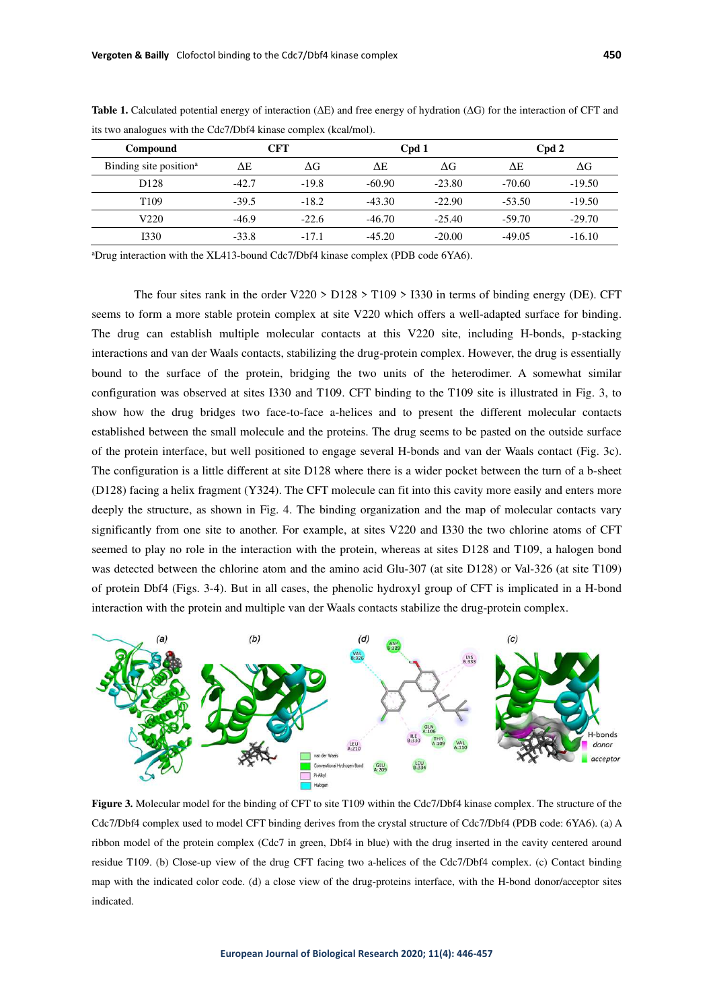| Compound                           | CFT     |         | Cpd 1    |            | Cpd 2    |                  |
|------------------------------------|---------|---------|----------|------------|----------|------------------|
| Binding site position <sup>a</sup> | ΔΕ      | ΔG      | AΕ       | $\Delta G$ | ΛE       | $\Delta {\rm G}$ |
| D <sub>128</sub>                   | $-42.7$ | $-19.8$ | $-60.90$ | $-23.80$   | $-70.60$ | $-19.50$         |
| T <sub>109</sub>                   | $-39.5$ | $-18.2$ | $-43.30$ | $-22.90$   | $-53.50$ | $-19.50$         |
| V220                               | $-46.9$ | $-22.6$ | $-46.70$ | $-25.40$   | $-59.70$ | $-29.70$         |
| 1330                               | $-33.8$ | $-17.1$ | $-45.20$ | $-20.00$   | $-49.05$ | $-16.10$         |

**Table 1.** Calculated potential energy of interaction (ΔE) and free energy of hydration (ΔG) for the interaction of CFT and its two analogues with the Cdc7/Dbf4 kinase complex (kcal/mol).

<sup>a</sup>Drug interaction with the XL413-bound Cdc7/Dbf4 kinase complex (PDB code 6YA6).

The four sites rank in the order V220 > D128 > T109 > I330 in terms of binding energy (DE). CFT seems to form a more stable protein complex at site V220 which offers a well-adapted surface for binding. The drug can establish multiple molecular contacts at this V220 site, including H-bonds, p-stacking interactions and van der Waals contacts, stabilizing the drug-protein complex. However, the drug is essentially bound to the surface of the protein, bridging the two units of the heterodimer. A somewhat similar configuration was observed at sites I330 and T109. CFT binding to the T109 site is illustrated in Fig. 3, to show how the drug bridges two face-to-face a-helices and to present the different molecular contacts established between the small molecule and the proteins. The drug seems to be pasted on the outside surface of the protein interface, but well positioned to engage several H-bonds and van der Waals contact (Fig. 3c). The configuration is a little different at site D128 where there is a wider pocket between the turn of a b-sheet (D128) facing a helix fragment (Y324). The CFT molecule can fit into this cavity more easily and enters more deeply the structure, as shown in Fig. 4. The binding organization and the map of molecular contacts vary significantly from one site to another. For example, at sites V220 and I330 the two chlorine atoms of CFT seemed to play no role in the interaction with the protein, whereas at sites D128 and T109, a halogen bond was detected between the chlorine atom and the amino acid Glu-307 (at site D128) or Val-326 (at site T109) of protein Dbf4 (Figs. 3-4). But in all cases, the phenolic hydroxyl group of CFT is implicated in a H-bond interaction with the protein and multiple van der Waals contacts stabilize the drug-protein complex.



**Figure 3.** Molecular model for the binding of CFT to site T109 within the Cdc7/Dbf4 kinase complex. The structure of the Cdc7/Dbf4 complex used to model CFT binding derives from the crystal structure of Cdc7/Dbf4 (PDB code: 6YA6). (a) A ribbon model of the protein complex (Cdc7 in green, Dbf4 in blue) with the drug inserted in the cavity centered around residue T109. (b) Close-up view of the drug CFT facing two a-helices of the Cdc7/Dbf4 complex. (c) Contact binding map with the indicated color code. (d) a close view of the drug-proteins interface, with the H-bond donor/acceptor sites indicated.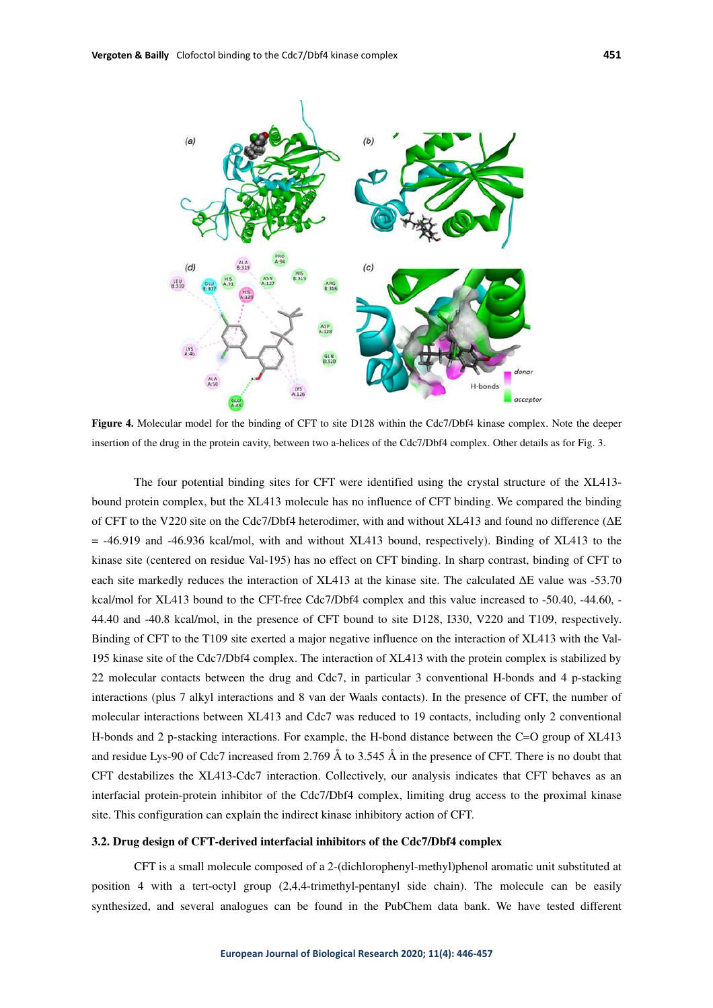

**Figure 4.** Molecular model for the binding of CFT to site D128 within the Cdc7/Dbf4 kinase complex. Note the deeper insertion of the drug in the protein cavity, between two a-helices of the Cdc7/Dbf4 complex. Other details as for Fig. 3.

The four potential binding sites for CFT were identified using the crystal structure of the XL413 bound protein complex, but the XL413 molecule has no influence of CFT binding. We compared the binding of CFT to the V220 site on the Cdc7/Dbf4 heterodimer, with and without XL413 and found no difference (ΔE = -46.919 and -46.936 kcal/mol, with and without XL413 bound, respectively). Binding of XL413 to the kinase site (centered on residue Val-195) has no effect on CFT binding. In sharp contrast, binding of CFT to each site markedly reduces the interaction of XL413 at the kinase site. The calculated ΔE value was -53.70 kcal/mol for XL413 bound to the CFT-free Cdc7/Dbf4 complex and this value increased to -50.40, -44.60, -44.40 and -40.8 kcal/mol, in the presence of CFT bound to site D128, I330, V220 and T109, respectively. Binding of CFT to the T109 site exerted a major negative influence on the interaction of XL413 with the Val-195 kinase site of the Cdc7/Dbf4 complex. The interaction of XL413 with the protein complex is stabilized by 22 molecular contacts between the drug and Cdc7, in particular 3 conventional H-bonds and 4 p-stacking interactions (plus 7 alkyl interactions and 8 van der Waals contacts). In the presence of CFT, the number of molecular interactions between XL413 and Cdc7 was reduced to 19 contacts, including only 2 conventional H-bonds and 2 p-stacking interactions. For example, the H-bond distance between the C=O group of XL413 and residue Lys-90 of Cdc7 increased from 2.769 Å to 3.545 Å in the presence of CFT. There is no doubt that CFT destabilizes the XL413-Cdc7 interaction. Collectively, our analysis indicates that CFT behaves as an interfacial protein-protein inhibitor of the Cdc7/Dbf4 complex, limiting drug access to the proximal kinase site. This configuration can explain the indirect kinase inhibitory action of CFT.

#### **3.2. Drug design of CFT-derived interfacial inhibitors of the Cdc7/Dbf4 complex**

CFT is a small molecule composed of a 2-(dichlorophenyl-methyl)phenol aromatic unit substituted at position 4 with a tert-octyl group (2,4,4-trimethyl-pentanyl side chain). The molecule can be easily synthesized, and several analogues can be found in the PubChem data bank. We have tested different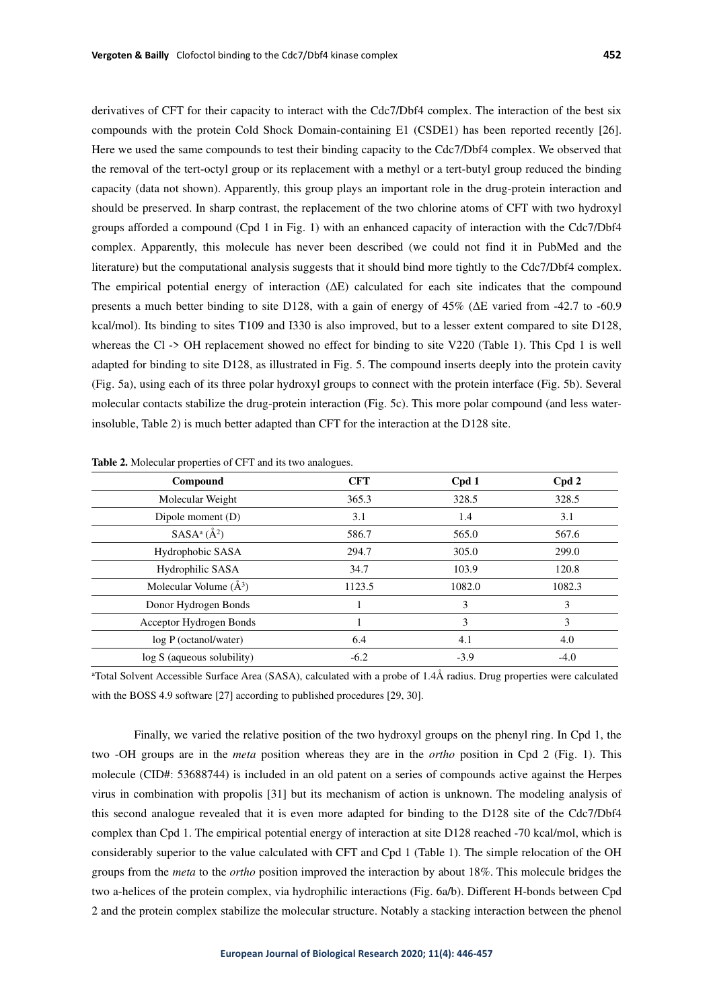derivatives of CFT for their capacity to interact with the Cdc7/Dbf4 complex. The interaction of the best six compounds with the protein Cold Shock Domain-containing E1 (CSDE1) has been reported recently [26]. Here we used the same compounds to test their binding capacity to the Cdc7/Dbf4 complex. We observed that the removal of the tert-octyl group or its replacement with a methyl or a tert-butyl group reduced the binding capacity (data not shown). Apparently, this group plays an important role in the drug-protein interaction and should be preserved. In sharp contrast, the replacement of the two chlorine atoms of CFT with two hydroxyl groups afforded a compound (Cpd 1 in Fig. 1) with an enhanced capacity of interaction with the Cdc7/Dbf4 complex. Apparently, this molecule has never been described (we could not find it in PubMed and the literature) but the computational analysis suggests that it should bind more tightly to the Cdc7/Dbf4 complex. The empirical potential energy of interaction (ΔE) calculated for each site indicates that the compound presents a much better binding to site D128, with a gain of energy of 45% (ΔE varied from -42.7 to -60.9 kcal/mol). Its binding to sites T109 and I330 is also improved, but to a lesser extent compared to site D128, whereas the Cl -> OH replacement showed no effect for binding to site V220 (Table 1). This Cpd 1 is well adapted for binding to site D128, as illustrated in Fig. 5. The compound inserts deeply into the protein cavity (Fig. 5a), using each of its three polar hydroxyl groups to connect with the protein interface (Fig. 5b). Several molecular contacts stabilize the drug-protein interaction (Fig. 5c). This more polar compound (and less waterinsoluble, Table 2) is much better adapted than CFT for the interaction at the D128 site.

| Compound                     | <b>CFT</b> | Cpd 1  | Cpd 2  |
|------------------------------|------------|--------|--------|
| Molecular Weight             | 365.3      | 328.5  | 328.5  |
| Dipole moment (D)            | 3.1        | 1.4    | 3.1    |
| $SASA^a(\AA^2)$              | 586.7      | 565.0  | 567.6  |
| Hydrophobic SASA             | 294.7      | 305.0  | 299.0  |
| Hydrophilic SASA             | 34.7       | 103.9  | 120.8  |
| Molecular Volume $(\AA^3)$   | 1123.5     | 1082.0 | 1082.3 |
| Donor Hydrogen Bonds         |            | 3      | 3      |
| Acceptor Hydrogen Bonds      |            | 3      | 3      |
| $log P$ (octanol/water)      | 6.4        | 4.1    | 4.0    |
| $log S$ (aqueous solubility) | $-6.2$     | $-3.9$ | $-4.0$ |

**Table 2.** Molecular properties of CFT and its two analogues.

<sup>a</sup>Total Solvent Accessible Surface Area (SASA), calculated with a probe of 1.4Å radius. Drug properties were calculated with the BOSS 4.9 software [27] according to published procedures [29, 30].

Finally, we varied the relative position of the two hydroxyl groups on the phenyl ring. In Cpd 1, the two -OH groups are in the *meta* position whereas they are in the *ortho* position in Cpd 2 (Fig. 1). This molecule (CID#: 53688744) is included in an old patent on a series of compounds active against the Herpes virus in combination with propolis [31] but its mechanism of action is unknown. The modeling analysis of this second analogue revealed that it is even more adapted for binding to the D128 site of the Cdc7/Dbf4 complex than Cpd 1. The empirical potential energy of interaction at site D128 reached -70 kcal/mol, which is considerably superior to the value calculated with CFT and Cpd 1 (Table 1). The simple relocation of the OH groups from the *meta* to the *ortho* position improved the interaction by about 18%. This molecule bridges the two a-helices of the protein complex, via hydrophilic interactions (Fig. 6a/b). Different H-bonds between Cpd 2 and the protein complex stabilize the molecular structure. Notably a stacking interaction between the phenol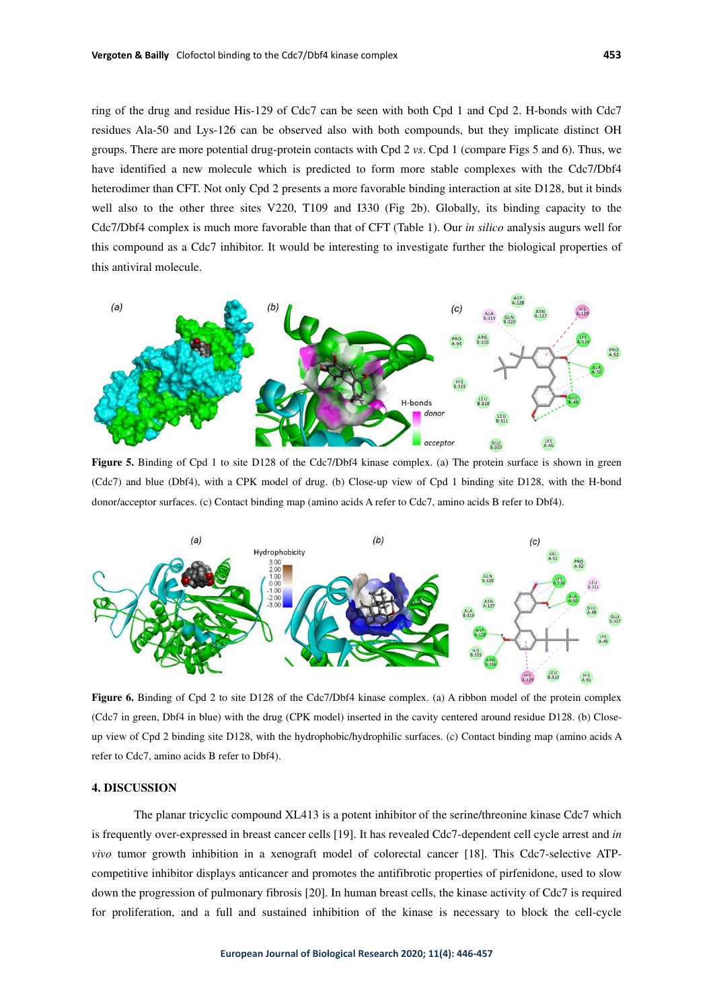ring of the drug and residue His-129 of Cdc7 can be seen with both Cpd 1 and Cpd 2. H-bonds with Cdc7 residues Ala-50 and Lys-126 can be observed also with both compounds, but they implicate distinct OH groups. There are more potential drug-protein contacts with Cpd 2 *vs*. Cpd 1 (compare Figs 5 and 6). Thus, we have identified a new molecule which is predicted to form more stable complexes with the Cdc7/Dbf4 heterodimer than CFT. Not only Cpd 2 presents a more favorable binding interaction at site D128, but it binds well also to the other three sites V220, T109 and I330 (Fig 2b). Globally, its binding capacity to the Cdc7/Dbf4 complex is much more favorable than that of CFT (Table 1). Our *in silico* analysis augurs well for this compound as a Cdc7 inhibitor. It would be interesting to investigate further the biological properties of this antiviral molecule.



Figure 5. Binding of Cpd 1 to site D128 of the Cdc7/Dbf4 kinase complex. (a) The protein surface is shown in green (Cdc7) and blue (Dbf4), with a CPK model of drug. (b) Close-up view of Cpd 1 binding site D128, with the H-bond donor/acceptor surfaces. (c) Contact binding map (amino acids A refer to Cdc7, amino acids B refer to Dbf4).



**Figure 6.** Binding of Cpd 2 to site D128 of the Cdc7/Dbf4 kinase complex. (a) A ribbon model of the protein complex (Cdc7 in green, Dbf4 in blue) with the drug (CPK model) inserted in the cavity centered around residue D128. (b) Closeup view of Cpd 2 binding site D128, with the hydrophobic/hydrophilic surfaces. (c) Contact binding map (amino acids A refer to Cdc7, amino acids B refer to Dbf4).

#### **4. DISCUSSION**

The planar tricyclic compound XL413 is a potent inhibitor of the serine/threonine kinase Cdc7 which is frequently over-expressed in breast cancer cells [19]. It has revealed Cdc7-dependent cell cycle arrest and *in vivo* tumor growth inhibition in a xenograft model of colorectal cancer [18]. This Cdc7-selective ATPcompetitive inhibitor displays anticancer and promotes the antifibrotic properties of pirfenidone, used to slow down the progression of pulmonary fibrosis [20]. In human breast cells, the kinase activity of Cdc7 is required for proliferation, and a full and sustained inhibition of the kinase is necessary to block the cell-cycle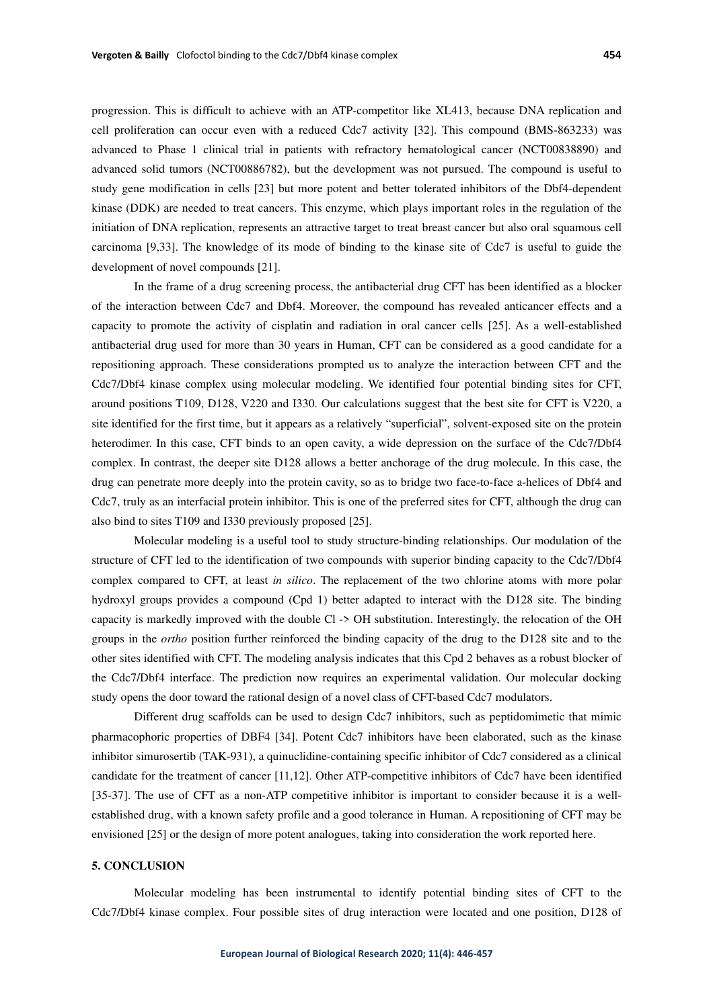progression. This is difficult to achieve with an ATP-competitor like XL413, because DNA replication and cell proliferation can occur even with a reduced Cdc7 activity [32]. This compound (BMS-863233) was advanced to Phase 1 clinical trial in patients with refractory hematological cancer (NCT00838890) and advanced solid tumors (NCT00886782), but the development was not pursued. The compound is useful to study gene modification in cells [23] but more potent and better tolerated inhibitors of the Dbf4-dependent kinase (DDK) are needed to treat cancers. This enzyme, which plays important roles in the regulation of the initiation of DNA replication, represents an attractive target to treat breast cancer but also oral squamous cell carcinoma [9,33]. The knowledge of its mode of binding to the kinase site of Cdc7 is useful to guide the development of novel compounds [21].

In the frame of a drug screening process, the antibacterial drug CFT has been identified as a blocker of the interaction between Cdc7 and Dbf4. Moreover, the compound has revealed anticancer effects and a capacity to promote the activity of cisplatin and radiation in oral cancer cells [25]. As a well-established antibacterial drug used for more than 30 years in Human, CFT can be considered as a good candidate for a repositioning approach. These considerations prompted us to analyze the interaction between CFT and the Cdc7/Dbf4 kinase complex using molecular modeling. We identified four potential binding sites for CFT, around positions T109, D128, V220 and I330. Our calculations suggest that the best site for CFT is V220, a site identified for the first time, but it appears as a relatively "superficial", solvent-exposed site on the protein heterodimer. In this case, CFT binds to an open cavity, a wide depression on the surface of the Cdc7/Dbf4 complex. In contrast, the deeper site D128 allows a better anchorage of the drug molecule. In this case, the drug can penetrate more deeply into the protein cavity, so as to bridge two face-to-face a-helices of Dbf4 and Cdc7, truly as an interfacial protein inhibitor. This is one of the preferred sites for CFT, although the drug can also bind to sites T109 and I330 previously proposed [25].

Molecular modeling is a useful tool to study structure-binding relationships. Our modulation of the structure of CFT led to the identification of two compounds with superior binding capacity to the Cdc7/Dbf4 complex compared to CFT, at least *in silico*. The replacement of the two chlorine atoms with more polar hydroxyl groups provides a compound (Cpd 1) better adapted to interact with the D128 site. The binding capacity is markedly improved with the double Cl -> OH substitution. Interestingly, the relocation of the OH groups in the *ortho* position further reinforced the binding capacity of the drug to the D128 site and to the other sites identified with CFT. The modeling analysis indicates that this Cpd 2 behaves as a robust blocker of the Cdc7/Dbf4 interface. The prediction now requires an experimental validation. Our molecular docking study opens the door toward the rational design of a novel class of CFT-based Cdc7 modulators.

Different drug scaffolds can be used to design Cdc7 inhibitors, such as peptidomimetic that mimic pharmacophoric properties of DBF4 [34]. Potent Cdc7 inhibitors have been elaborated, such as the kinase inhibitor simurosertib (TAK-931), a quinuclidine-containing specific inhibitor of Cdc7 considered as a clinical candidate for the treatment of cancer [11,12]. Other ATP-competitive inhibitors of Cdc7 have been identified [35-37]. The use of CFT as a non-ATP competitive inhibitor is important to consider because it is a wellestablished drug, with a known safety profile and a good tolerance in Human. A repositioning of CFT may be envisioned [25] or the design of more potent analogues, taking into consideration the work reported here.

#### **5. CONCLUSION**

Molecular modeling has been instrumental to identify potential binding sites of CFT to the Cdc7/Dbf4 kinase complex. Four possible sites of drug interaction were located and one position, D128 of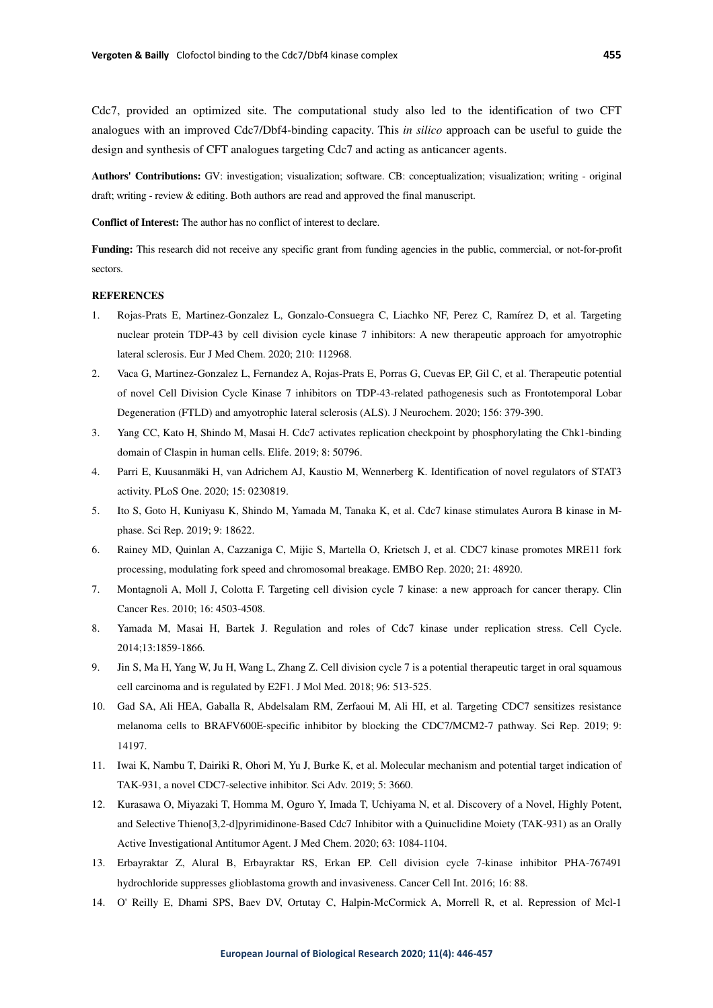Cdc7, provided an optimized site. The computational study also led to the identification of two CFT analogues with an improved Cdc7/Dbf4-binding capacity. This *in silico* approach can be useful to guide the design and synthesis of CFT analogues targeting Cdc7 and acting as anticancer agents.

**Authors' Contributions:** GV: investigation; visualization; software. CB: conceptualization; visualization; writing - original draft; writing - review & editing. Both authors are read and approved the final manuscript.

**Conflict of Interest:** The author has no conflict of interest to declare.

**Funding:** This research did not receive any specific grant from funding agencies in the public, commercial, or not-for-profit sectors.

#### **REFERENCES**

- 1. Rojas-Prats E, Martinez-Gonzalez L, Gonzalo-Consuegra C, Liachko NF, Perez C, Ramírez D, et al. Targeting nuclear protein TDP-43 by cell division cycle kinase 7 inhibitors: A new therapeutic approach for amyotrophic lateral sclerosis. Eur J Med Chem. 2020; 210: 112968.
- 2. Vaca G, Martinez-Gonzalez L, Fernandez A, Rojas-Prats E, Porras G, Cuevas EP, Gil C, et al. Therapeutic potential of novel Cell Division Cycle Kinase 7 inhibitors on TDP-43-related pathogenesis such as Frontotemporal Lobar Degeneration (FTLD) and amyotrophic lateral sclerosis (ALS). J Neurochem. 2020; 156: 379-390.
- 3. Yang CC, Kato H, Shindo M, Masai H. Cdc7 activates replication checkpoint by phosphorylating the Chk1-binding domain of Claspin in human cells. Elife. 2019; 8: 50796.
- 4. Parri E, Kuusanmäki H, van Adrichem AJ, Kaustio M, Wennerberg K. Identification of novel regulators of STAT3 activity. PLoS One. 2020; 15: 0230819.
- 5. Ito S, Goto H, Kuniyasu K, Shindo M, Yamada M, Tanaka K, et al. Cdc7 kinase stimulates Aurora B kinase in Mphase. Sci Rep. 2019; 9: 18622.
- 6. Rainey MD, Quinlan A, Cazzaniga C, Mijic S, Martella O, Krietsch J, et al. CDC7 kinase promotes MRE11 fork processing, modulating fork speed and chromosomal breakage. EMBO Rep. 2020; 21: 48920.
- 7. Montagnoli A, Moll J, Colotta F. Targeting cell division cycle 7 kinase: a new approach for cancer therapy. Clin Cancer Res. 2010; 16: 4503-4508.
- 8. Yamada M, Masai H, Bartek J. Regulation and roles of Cdc7 kinase under replication stress. Cell Cycle. 2014;13:1859-1866.
- 9. Jin S, Ma H, Yang W, Ju H, Wang L, Zhang Z. Cell division cycle 7 is a potential therapeutic target in oral squamous cell carcinoma and is regulated by E2F1. J Mol Med. 2018; 96: 513-525.
- 10. Gad SA, Ali HEA, Gaballa R, Abdelsalam RM, Zerfaoui M, Ali HI, et al. Targeting CDC7 sensitizes resistance melanoma cells to BRAFV600E-specific inhibitor by blocking the CDC7/MCM2-7 pathway. Sci Rep. 2019; 9: 14197.
- 11. Iwai K, Nambu T, Dairiki R, Ohori M, Yu J, Burke K, et al. Molecular mechanism and potential target indication of TAK-931, a novel CDC7-selective inhibitor. Sci Adv. 2019; 5: 3660.
- 12. Kurasawa O, Miyazaki T, Homma M, Oguro Y, Imada T, Uchiyama N, et al. Discovery of a Novel, Highly Potent, and Selective Thieno[3,2-d]pyrimidinone-Based Cdc7 Inhibitor with a Quinuclidine Moiety (TAK-931) as an Orally Active Investigational Antitumor Agent. J Med Chem. 2020; 63: 1084-1104.
- 13. Erbayraktar Z, Alural B, Erbayraktar RS, Erkan EP. Cell division cycle 7-kinase inhibitor PHA-767491 hydrochloride suppresses glioblastoma growth and invasiveness. Cancer Cell Int. 2016; 16: 88.
- 14. O' Reilly E, Dhami SPS, Baev DV, Ortutay C, Halpin-McCormick A, Morrell R, et al. Repression of Mcl-1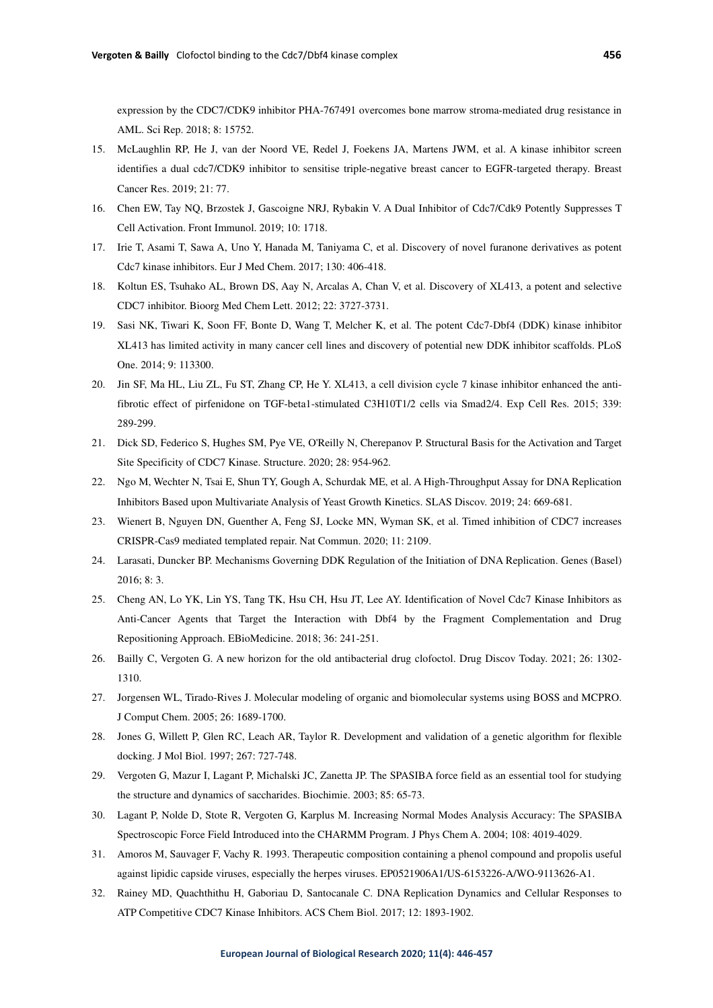expression by the CDC7/CDK9 inhibitor PHA-767491 overcomes bone marrow stroma-mediated drug resistance in AML. Sci Rep. 2018; 8: 15752.

- 15. McLaughlin RP, He J, van der Noord VE, Redel J, Foekens JA, Martens JWM, et al. A kinase inhibitor screen identifies a dual cdc7/CDK9 inhibitor to sensitise triple-negative breast cancer to EGFR-targeted therapy. Breast Cancer Res. 2019; 21: 77.
- 16. Chen EW, Tay NQ, Brzostek J, Gascoigne NRJ, Rybakin V. A Dual Inhibitor of Cdc7/Cdk9 Potently Suppresses T Cell Activation. Front Immunol. 2019; 10: 1718.
- 17. Irie T, Asami T, Sawa A, Uno Y, Hanada M, Taniyama C, et al. Discovery of novel furanone derivatives as potent Cdc7 kinase inhibitors. Eur J Med Chem. 2017; 130: 406-418.
- 18. Koltun ES, Tsuhako AL, Brown DS, Aay N, Arcalas A, Chan V, et al. Discovery of XL413, a potent and selective CDC7 inhibitor. Bioorg Med Chem Lett. 2012; 22: 3727-3731.
- 19. Sasi NK, Tiwari K, Soon FF, Bonte D, Wang T, Melcher K, et al. The potent Cdc7-Dbf4 (DDK) kinase inhibitor XL413 has limited activity in many cancer cell lines and discovery of potential new DDK inhibitor scaffolds. PLoS One. 2014; 9: 113300.
- 20. Jin SF, Ma HL, Liu ZL, Fu ST, Zhang CP, He Y. XL413, a cell division cycle 7 kinase inhibitor enhanced the antifibrotic effect of pirfenidone on TGF-beta1-stimulated C3H10T1/2 cells via Smad2/4. Exp Cell Res. 2015; 339: 289-299.
- 21. Dick SD, Federico S, Hughes SM, Pye VE, O'Reilly N, Cherepanov P. Structural Basis for the Activation and Target Site Specificity of CDC7 Kinase. Structure. 2020; 28: 954-962.
- 22. Ngo M, Wechter N, Tsai E, Shun TY, Gough A, Schurdak ME, et al. A High-Throughput Assay for DNA Replication Inhibitors Based upon Multivariate Analysis of Yeast Growth Kinetics. SLAS Discov. 2019; 24: 669-681.
- 23. Wienert B, Nguyen DN, Guenther A, Feng SJ, Locke MN, Wyman SK, et al. Timed inhibition of CDC7 increases CRISPR-Cas9 mediated templated repair. Nat Commun. 2020; 11: 2109.
- 24. Larasati, Duncker BP. Mechanisms Governing DDK Regulation of the Initiation of DNA Replication. Genes (Basel) 2016; 8: 3.
- 25. Cheng AN, Lo YK, Lin YS, Tang TK, Hsu CH, Hsu JT, Lee AY. Identification of Novel Cdc7 Kinase Inhibitors as Anti-Cancer Agents that Target the Interaction with Dbf4 by the Fragment Complementation and Drug Repositioning Approach. EBioMedicine. 2018; 36: 241-251.
- 26. Bailly C, Vergoten G. A new horizon for the old antibacterial drug clofoctol. Drug Discov Today. 2021; 26: 1302- 1310.
- 27. Jorgensen WL, Tirado-Rives J. Molecular modeling of organic and biomolecular systems using BOSS and MCPRO. J Comput Chem. 2005; 26: 1689-1700.
- 28. Jones G, Willett P, Glen RC, Leach AR, Taylor R. Development and validation of a genetic algorithm for flexible docking. J Mol Biol. 1997; 267: 727-748.
- 29. Vergoten G, Mazur I, Lagant P, Michalski JC, Zanetta JP. The SPASIBA force field as an essential tool for studying the structure and dynamics of saccharides. Biochimie. 2003; 85: 65-73.
- 30. Lagant P, Nolde D, Stote R, Vergoten G, Karplus M. Increasing Normal Modes Analysis Accuracy: The SPASIBA Spectroscopic Force Field Introduced into the CHARMM Program. J Phys Chem A. 2004; 108: 4019-4029.
- 31. Amoros M, Sauvager F, Vachy R. 1993. Therapeutic composition containing a phenol compound and propolis useful against lipidic capside viruses, especially the herpes viruses. EP0521906A1/US-6153226-A/WO-9113626-A1.
- 32. Rainey MD, Quachthithu H, Gaboriau D, Santocanale C. DNA Replication Dynamics and Cellular Responses to ATP Competitive CDC7 Kinase Inhibitors. ACS Chem Biol. 2017; 12: 1893-1902.